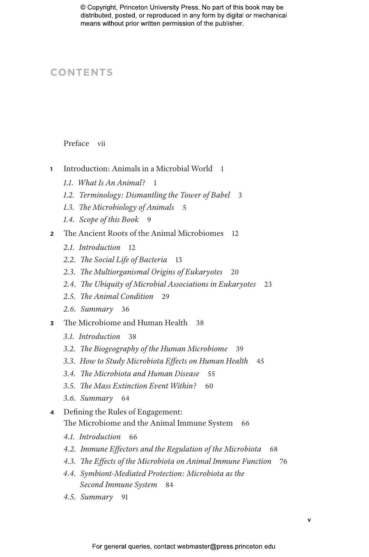## **CONTENTS**

Preface vii

- **<sup>1</sup>** Introduction: Animals in a Microbial World 1
	- *1.1. What Is An Animal?* 1
	- *1.2. Terminology: Dismantling the Tower of Babel* 3
	- *1.3. The Microbiology of Animals* 5
	- *1.4. Scope of this Book* 9
- **2** The Ancient Roots of the Animal Microbiomes 12
	- *2.1. Introduction* 12
	- *2.2. The Social Life of Bacteria* 13
	- *2.3. The Multiorganismal Origins of Eukaryotes* 20
	- *2.4. The Ubiquity of Microbial Associations in Eukaryotes* 23
	- *2.5. The Animal Condition* 29
	- *2.6. Summary* 36
- **<sup>3</sup>** The Microbiome and Human Health 38
	- *3.1. Introduction* 38
	- *3.2. The Biogeography of the Human Microbiome* 39
	- *3.3. How to Study Microbiota Effects on Human Health* 45
	- *3.4. The Microbiota and Human Disease* 55
	- *3.5. The Mass Extinction Event Within?* 60
	- *3.6. Summary* 64
- **<sup>4</sup>** Defining the Rules of Engagement: The Microbiome and the Animal Immune System 66
	- *4.1. Introduction* 66
	- *4.2. Immune Effectors and the Regulation of the Microbiota* 68
	- *4.3. The Effects of the Microbiota on Animal Immune Function* 76
	- *4.4. Symbiont-Mediated Protection: Microbiota as the Second Immune System* 84
	- *4.5. Summary* 91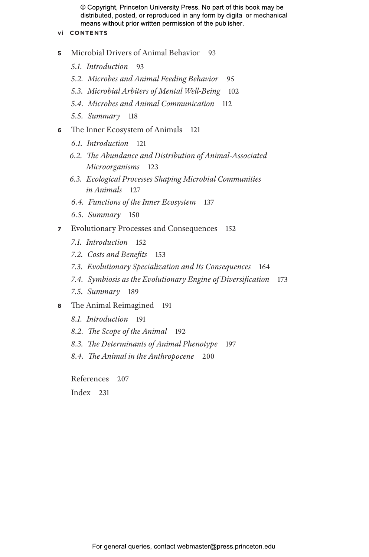- **vi CONTENTS**
- **<sup>5</sup>** Microbial Drivers of Animal Behavior 93
	- *5.1. Introduction* 93
	- *5.2. Microbes and Animal Feeding Behavior* 95
	- *5.3. Microbial Arbiters of Mental Well-Being* 102
	- *5.4. Microbes and Animal Communication* 112
	- *5.5. Summary* 118
- **<sup>6</sup>** The Inner Ecosystem of Animals 121
	- *6.1. Introduction* 121
	- *6.2. The Abundance and Distribution of Animal-Associated Microorganisms* 123
	- *6.3. Ecological Processes Shaping Microbial Communities in Animals* 127
	- *6.4. Functions of the Inner Ecosystem* 137
	- *6.5. Summary* 150
- **<sup>7</sup>** Evolutionary Processes and Consequences 152
	- *7.1. Introduction* 152
	- *7.2. Costs and Benefits* 153
	- *7.3. Evolutionary Specialization and Its Consequences* 164
	- *7.4. Symbiosis as the Evolutionary Engine of Diversification* 173
	- *7.5. Summary* 189
- **<sup>8</sup>** The Animal Reimagined 191
	- *8.1. Introduction* 191
	- *8.2. The Scope of the Animal* 192
	- *8.3. The Determinants of Animal Phenotype* 197
	- *8.4. The Animal in the Anthropocene* 200

References 207

Index 231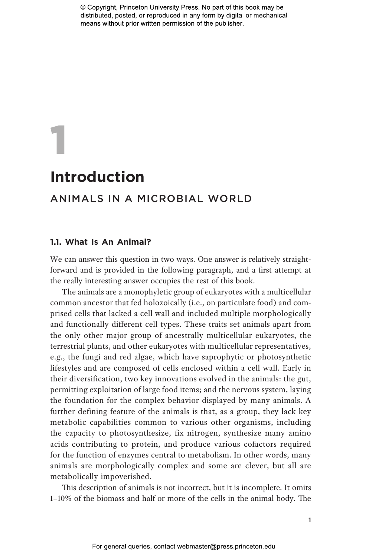# **Introduction**

1

## ANIMALS IN A MICROBIAL WORLD

## **1.1. What Is An Animal?**

We can answer this question in two ways. One answer is relatively straightforward and is provided in the following paragraph, and a first attempt at the really interesting answer occupies the rest of this book.

The animals are a monophyletic group of eukaryotes with a multicellular common ancestor that fed holozoically (i.e., on particulate food) and comprised cells that lacked a cell wall and included multiple morphologically and functionally different cell types. These traits set animals apart from the only other major group of ancestrally multicellular eukaryotes, the terrestrial plants, and other eukaryotes with multicellular representatives, e.g., the fungi and red algae, which have saprophytic or photosynthetic lifestyles and are composed of cells enclosed within a cell wall. Early in their diversification, two key innovations evolved in the animals: the gut, permitting exploitation of large food items; and the nervous system, laying the foundation for the complex behavior displayed by many animals. A further defining feature of the animals is that, as a group, they lack key metabolic capabilities common to various other organisms, including the capacity to photosynthesize, fix nitrogen, synthesize many amino acids contributing to protein, and produce various cofactors required for the function of enzymes central to metabolism. In other words, many animals are morphologically complex and some are clever, but all are metabolically impoverished.

This description of animals is not incorrect, but it is incomplete. It omits 1–10% of the biomass and half or more of the cells in the animal body. The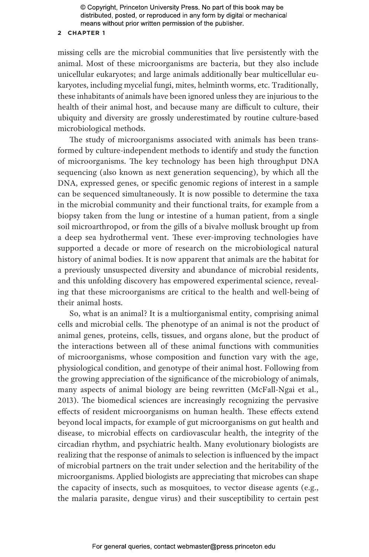#### **2 CHAPTER 1**

missing cells are the microbial communities that live persistently with the animal. Most of these microorganisms are bacteria, but they also include unicellular eukaryotes; and large animals additionally bear multicellular eukaryotes, including mycelial fungi, mites, helminth worms, etc. Traditionally, these inhabitants of animals have been ignored unless they are injurious to the health of their animal host, and because many are difficult to culture, their ubiquity and diversity are grossly underestimated by routine culture-based microbiological methods.

The study of microorganisms associated with animals has been transformed by culture-independent methods to identify and study the function of microorganisms. The key technology has been high throughput DNA sequencing (also known as next generation sequencing), by which all the DNA, expressed genes, or specific genomic regions of interest in a sample can be sequenced simultaneously. It is now possible to determine the taxa in the microbial community and their functional traits, for example from a biopsy taken from the lung or intestine of a human patient, from a single soil microarthropod, or from the gills of a bivalve mollusk brought up from a deep sea hydrothermal vent. These ever-improving technologies have supported a decade or more of research on the microbiological natural history of animal bodies. It is now apparent that animals are the habitat for a previously unsuspected diversity and abundance of microbial residents, and this unfolding discovery has empowered experimental science, revealing that these microorganisms are critical to the health and well-being of their animal hosts.

So, what is an animal? It is a multiorganismal entity, comprising animal cells and microbial cells. The phenotype of an animal is not the product of animal genes, proteins, cells, tissues, and organs alone, but the product of the interactions between all of these animal functions with communities of microorganisms, whose composition and function vary with the age, physiological condition, and genotype of their animal host. Following from the growing appreciation of the significance of the microbiology of animals, many aspects of animal biology are being rewritten (McFall-Ngai et al., 2013). The biomedical sciences are increasingly recognizing the pervasive effects of resident microorganisms on human health. These effects extend beyond local impacts, for example of gut microorganisms on gut health and disease, to microbial effects on cardiovascular health, the integrity of the circadian rhythm, and psychiatric health. Many evolutionary biologists are realizing that the response of animals to selection is influenced by the impact of microbial partners on the trait under selection and the heritability of the microorganisms. Applied biologists are appreciating that microbes can shape the capacity of insects, such as mosquitoes, to vector disease agents (e.g., the malaria parasite, dengue virus) and their susceptibility to certain pest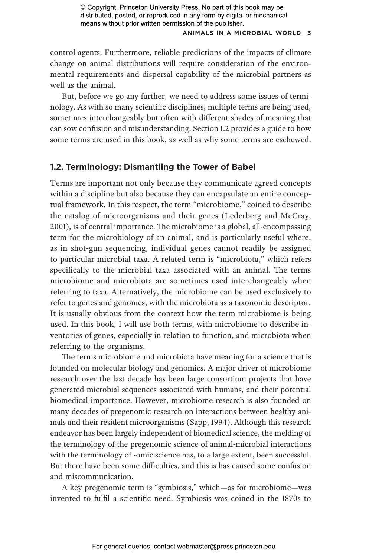## **ANIMALS IN A MICROBIAL WORLD 3**

control agents. Furthermore, reliable predictions of the impacts of climate change on animal distributions will require consideration of the environmental requirements and dispersal capability of the microbial partners as well as the animal.

But, before we go any further, we need to address some issues of terminology. As with so many scientific disciplines, multiple terms are being used, sometimes interchangeably but often with different shades of meaning that can sow confusion and misunderstanding. Section 1.2 provides a guide to how some terms are used in this book, as well as why some terms are eschewed.

## **1.2. Terminology: Dismantling the Tower of Babel**

Terms are important not only because they communicate agreed concepts within a discipline but also because they can encapsulate an entire conceptual framework. In this respect, the term "microbiome," coined to describe the catalog of microorganisms and their genes (Lederberg and McCray, 2001), is of central importance. The microbiome is a global, all-encompassing term for the microbiology of an animal, and is particularly useful where, as in shot-gun sequencing, individual genes cannot readily be assigned to particular microbial taxa. A related term is "microbiota," which refers specifically to the microbial taxa associated with an animal. The terms microbiome and microbiota are sometimes used interchangeably when referring to taxa. Alternatively, the microbiome can be used exclusively to refer to genes and genomes, with the microbiota as a taxonomic descriptor. It is usually obvious from the context how the term microbiome is being used. In this book, I will use both terms, with microbiome to describe inventories of genes, especially in relation to function, and microbiota when referring to the organisms.

The terms microbiome and microbiota have meaning for a science that is founded on molecular biology and genomics. A major driver of microbiome research over the last decade has been large consortium projects that have generated microbial sequences associated with humans, and their potential biomedical importance. However, microbiome research is also founded on many decades of pregenomic research on interactions between healthy animals and their resident microorganisms (Sapp, 1994). Although this research endeavor has been largely independent of biomedical science, the melding of the terminology of the pregenomic science of animal-microbial interactions with the terminology of -omic science has, to a large extent, been successful. But there have been some difficulties, and this is has caused some confusion and miscommunication.

A key pregenomic term is "symbiosis," which—as for microbiome—was invented to fulfil a scientific need. Symbiosis was coined in the 1870s to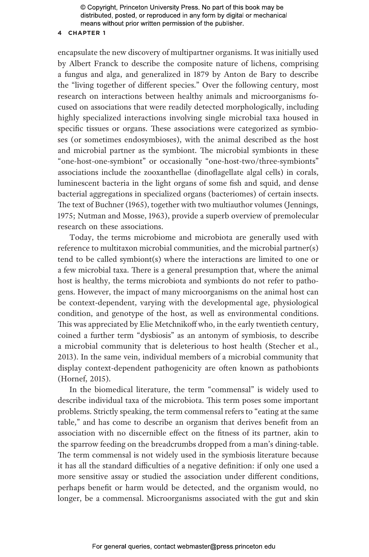#### **4 CHAPTER 1**

encapsulate the new discovery of multipartner organisms. It was initially used by Albert Franck to describe the composite nature of lichens, comprising a fungus and alga, and generalized in 1879 by Anton de Bary to describe the "living together of different species." Over the following century, most research on interactions between healthy animals and microorganisms focused on associations that were readily detected morphologically, including highly specialized interactions involving single microbial taxa housed in specific tissues or organs. These associations were categorized as symbioses (or sometimes endosymbioses), with the animal described as the host and microbial partner as the symbiont. The microbial symbionts in these "one-host-one-symbiont" or occasionally "one-host-two/three-symbionts" associations include the zooxanthellae (dinoflagellate algal cells) in corals, luminescent bacteria in the light organs of some fish and squid, and dense bacterial aggregations in specialized organs (bacteriomes) of certain insects. The text of Buchner (1965), together with two multiauthor volumes (Jennings, 1975; Nutman and Mosse, 1963), provide a superb overview of premolecular research on these associations.

Today, the terms microbiome and microbiota are generally used with reference to multitaxon microbial communities, and the microbial partner(s) tend to be called symbiont(s) where the interactions are limited to one or a few microbial taxa. There is a general presumption that, where the animal host is healthy, the terms microbiota and symbionts do not refer to pathogens. However, the impact of many microorganisms on the animal host can be context-dependent, varying with the developmental age, physiological condition, and genotype of the host, as well as environmental conditions. This was appreciated by Elie Metchnikoff who, in the early twentieth century, coined a further term "dysbiosis" as an antonym of symbiosis, to describe a microbial community that is deleterious to host health (Stecher et al., 2013). In the same vein, individual members of a microbial community that display context-dependent pathogenicity are often known as pathobionts (Hornef, 2015).

In the biomedical literature, the term "commensal" is widely used to describe individual taxa of the microbiota. This term poses some important problems. Strictly speaking, the term commensal refers to "eating at the same table," and has come to describe an organism that derives benefit from an association with no discernible effect on the fitness of its partner, akin to the sparrow feeding on the breadcrumbs dropped from a man's dining-table. The term commensal is not widely used in the symbiosis literature because it has all the standard difficulties of a negative definition: if only one used a more sensitive assay or studied the association under different conditions, perhaps benefit or harm would be detected, and the organism would, no longer, be a commensal. Microorganisms associated with the gut and skin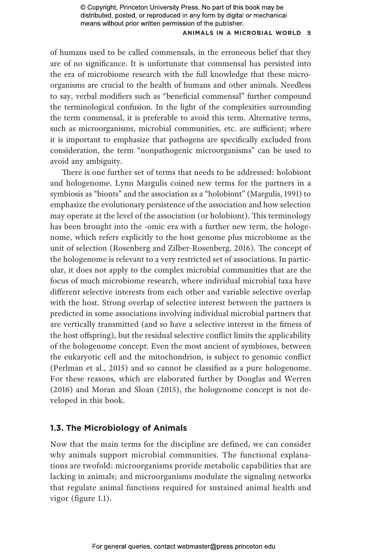### **ANIMALS IN A MICROBIAL WORLD 5**

of humans used to be called commensals, in the erroneous belief that they are of no significance. It is unfortunate that commensal has persisted into the era of microbiome research with the full knowledge that these microorganisms are crucial to the health of humans and other animals. Needless to say, verbal modifiers such as "beneficial commensal" further compound the terminological confusion. In the light of the complexities surrounding the term commensal, it is preferable to avoid this term. Alternative terms, such as microorganisms, microbial communities, etc. are sufficient; where it is important to emphasize that pathogens are specifically excluded from consideration, the term "nonpathogenic microorganisms" can be used to avoid any ambiguity.

There is one further set of terms that needs to be addressed: holobiont and hologenome. Lynn Margulis coined new terms for the partners in a symbiosis as "bionts" and the association as a "holobiont" (Margulis, 1991) to emphasize the evolutionary persistence of the association and how selection may operate at the level of the association (or holobiont). This terminology has been brought into the -omic era with a further new term, the hologenome, which refers explicitly to the host genome plus microbiome as the unit of selection (Rosenberg and Zilber-Rosenberg, 2016). The concept of the hologenome is relevant to a very restricted set of associations. In particular, it does not apply to the complex microbial communities that are the focus of much microbiome research, where individual microbial taxa have different selective interests from each other and variable selective overlap with the host. Strong overlap of selective interest between the partners is predicted in some associations involving individual microbial partners that are vertically transmitted (and so have a selective interest in the fitness of the host offspring), but the residual selective conflict limits the applicability of the hologenome concept. Even the most ancient of symbioses, between the eukaryotic cell and the mitochondrion, is subject to genomic conflict (Perlman et al., 2015) and so cannot be classified as a pure hologenome. For these reasons, which are elaborated further by Douglas and Werren (2016) and Moran and Sloan (2015), the hologenome concept is not developed in this book.

## **1.3. The Microbiology of Animals**

Now that the main terms for the discipline are defined, we can consider why animals support microbial communities. The functional explanations are twofold: microorganisms provide metabolic capabilities that are lacking in animals; and microorganisms modulate the signaling networks that regulate animal functions required for sustained animal health and vigor (figure 1.1).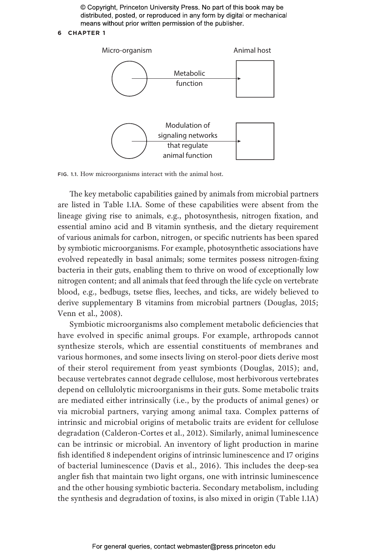#### **6 CHAPTER 1**



FIG. 1.1. How microorganisms interact with the animal host.

The key metabolic capabilities gained by animals from microbial partners are listed in Table 1.1A. Some of these capabilities were absent from the lineage giving rise to animals, e.g., photosynthesis, nitrogen fixation, and essential amino acid and B vitamin synthesis, and the dietary requirement of various animals for carbon, nitrogen, or specific nutrients has been spared by symbiotic microorganisms. For example, photosynthetic associations have evolved repeatedly in basal animals; some termites possess nitrogen-fixing bacteria in their guts, enabling them to thrive on wood of exceptionally low nitrogen content; and all animals that feed through the life cycle on vertebrate blood, e.g., bedbugs, tsetse flies, leeches, and ticks, are widely believed to derive supplementary B vitamins from microbial partners (Douglas, 2015; Venn et al., 2008).

Symbiotic microorganisms also complement metabolic deficiencies that have evolved in specific animal groups. For example, arthropods cannot synthesize sterols, which are essential constituents of membranes and various hormones, and some insects living on sterol-poor diets derive most of their sterol requirement from yeast symbionts (Douglas, 2015); and, because vertebrates cannot degrade cellulose, most herbivorous vertebrates depend on cellulolytic microorganisms in their guts. Some metabolic traits are mediated either intrinsically (i.e., by the products of animal genes) or via microbial partners, varying among animal taxa. Complex patterns of intrinsic and microbial origins of metabolic traits are evident for cellulose degradation (Calderon-Cortes et al., 2012). Similarly, animal luminescence can be intrinsic or microbial. An inventory of light production in marine fish identified 8 independent origins of intrinsic luminescence and 17 origins of bacterial luminescence (Davis et al., 2016). This includes the deep-sea angler fish that maintain two light organs, one with intrinsic luminescence and the other housing symbiotic bacteria. Secondary metabolism, including the synthesis and degradation of toxins, is also mixed in origin (Table 1.1A)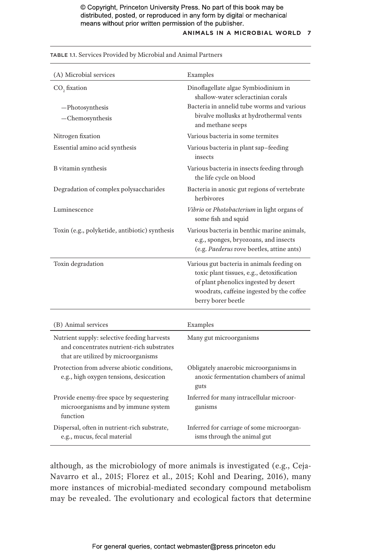### **ANIMALS IN A MICROBIAL WORLD 7**

| (A) Microbial services                                                                                                          | Examples                                                                                                                                                                                            |
|---------------------------------------------------------------------------------------------------------------------------------|-----------------------------------------------------------------------------------------------------------------------------------------------------------------------------------------------------|
| CO <sub>2</sub> fixation                                                                                                        | Dinoflagellate algae Symbiodinium in<br>shallow-water scleractinian corals                                                                                                                          |
| -Photosynthesis                                                                                                                 | Bacteria in annelid tube worms and various                                                                                                                                                          |
| $-C$ hemosynthesis                                                                                                              | bivalve mollusks at hydrothermal vents<br>and methane seeps                                                                                                                                         |
| Nitrogen fixation                                                                                                               | Various bacteria in some termites                                                                                                                                                                   |
| Essential amino acid synthesis                                                                                                  | Various bacteria in plant sap-feeding<br>insects                                                                                                                                                    |
| B vitamin synthesis                                                                                                             | Various bacteria in insects feeding through<br>the life cycle on blood                                                                                                                              |
| Degradation of complex polysaccharides                                                                                          | Bacteria in anoxic gut regions of vertebrate<br>herbivores                                                                                                                                          |
| Luminescence                                                                                                                    | Vibrio or Photobacterium in light organs of<br>some fish and squid                                                                                                                                  |
| Toxin (e.g., polyketide, antibiotic) synthesis                                                                                  | Various bacteria in benthic marine animals,<br>e.g., sponges, bryozoans, and insects<br>(e.g. Paederus rove beetles, attine ants)                                                                   |
| Toxin degradation                                                                                                               | Various gut bacteria in animals feeding on<br>toxic plant tissues, e.g., detoxification<br>of plant phenolics ingested by desert<br>woodrats, caffeine ingested by the coffee<br>berry borer beetle |
| (B) Animal services                                                                                                             | Examples                                                                                                                                                                                            |
| Nutrient supply: selective feeding harvests<br>and concentrates nutrient-rich substrates<br>that are utilized by microorganisms | Many gut microorganisms                                                                                                                                                                             |
| Protection from adverse abiotic conditions,<br>e.g., high oxygen tensions, desiccation                                          | Obligately anaerobic microorganisms in<br>anoxic fermentation chambers of animal<br>guts                                                                                                            |
| Provide enemy-free space by sequestering<br>microorganisms and by immune system<br>function                                     | Inferred for many intracellular microor-<br>ganisms                                                                                                                                                 |
| Dispersal, often in nutrient-rich substrate,<br>e.g., mucus, fecal material                                                     | Inferred for carriage of some microorgan-<br>isms through the animal gut                                                                                                                            |

TABLE 1.1. Services Provided by Microbial and Animal Partners

although, as the microbiology of more animals is investigated (e.g., Ceja-Navarro et al., 2015; Florez et al., 2015; Kohl and Dearing, 2016), many more instances of microbial-mediated secondary compound metabolism may be revealed. The evolutionary and ecological factors that determine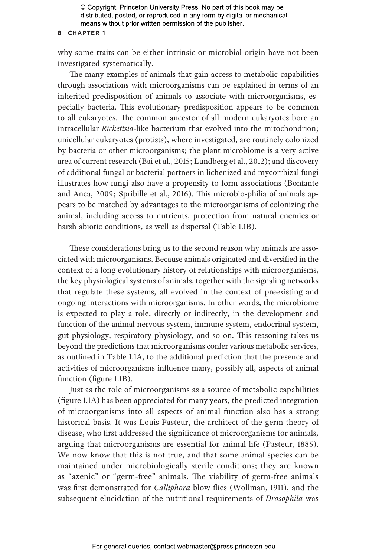#### **8 CHAPTER 1**

why some traits can be either intrinsic or microbial origin have not been investigated systematically.

The many examples of animals that gain access to metabolic capabilities through associations with microorganisms can be explained in terms of an inherited predisposition of animals to associate with microorganisms, especially bacteria. This evolutionary predisposition appears to be common to all eukaryotes. The common ancestor of all modern eukaryotes bore an intracellular *Rickettsia*-like bacterium that evolved into the mitochondrion; unicellular eukaryotes (protists), where investigated, are routinely colonized by bacteria or other microorganisms; the plant microbiome is a very active area of current research (Bai et al., 2015; Lundberg et al., 2012); and discovery of additional fungal or bacterial partners in lichenized and mycorrhizal fungi illustrates how fungi also have a propensity to form associations (Bonfante and Anca, 2009; Spribille et al., 2016). This microbio-philia of animals appears to be matched by advantages to the microorganisms of colonizing the animal, including access to nutrients, protection from natural enemies or harsh abiotic conditions, as well as dispersal (Table 1.1B).

These considerations bring us to the second reason why animals are associated with microorganisms. Because animals originated and diversified in the context of a long evolutionary history of relationships with microorganisms, the key physiological systems of animals, together with the signaling networks that regulate these systems, all evolved in the context of preexisting and ongoing interactions with microorganisms. In other words, the microbiome is expected to play a role, directly or indirectly, in the development and function of the animal nervous system, immune system, endocrinal system, gut physiology, respiratory physiology, and so on. This reasoning takes us beyond the predictions that microorganisms confer various metabolic services, as outlined in Table 1.1A, to the additional prediction that the presence and activities of microorganisms influence many, possibly all, aspects of animal function (figure 1.1B).

Just as the role of microorganisms as a source of metabolic capabilities (figure 1.1A) has been appreciated for many years, the predicted integration of microorganisms into all aspects of animal function also has a strong historical basis. It was Louis Pasteur, the architect of the germ theory of disease, who first addressed the significance of microorganisms for animals, arguing that microorganisms are essential for animal life (Pasteur, 1885). We now know that this is not true, and that some animal species can be maintained under microbiologically sterile conditions; they are known as "axenic" or "germ-free" animals. The viability of germ-free animals was first demonstrated for *Calliphora* blow flies (Wollman, 1911), and the subsequent elucidation of the nutritional requirements of *Drosophila* was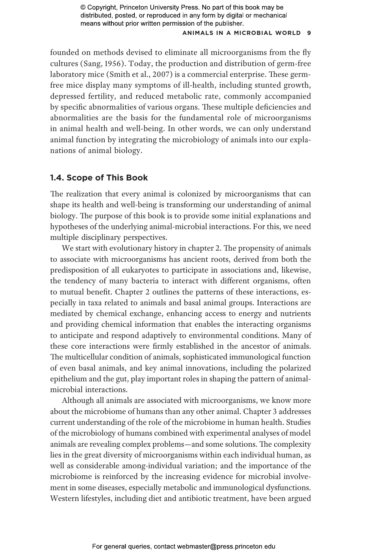## **ANIMALS IN A MICROBIAL WORLD 9**

founded on methods devised to eliminate all microorganisms from the fly cultures (Sang, 1956). Today, the production and distribution of germ-free laboratory mice (Smith et al., 2007) is a commercial enterprise. These germfree mice display many symptoms of ill-health, including stunted growth, depressed fertility, and reduced metabolic rate, commonly accompanied by specific abnormalities of various organs. These multiple deficiencies and abnormalities are the basis for the fundamental role of microorganisms in animal health and well-being. In other words, we can only understand animal function by integrating the microbiology of animals into our explanations of animal biology.

## **1.4. Scope of This Book**

The realization that every animal is colonized by microorganisms that can shape its health and well-being is transforming our understanding of animal biology. The purpose of this book is to provide some initial explanations and hypotheses of the underlying animal-microbial interactions. For this, we need multiple disciplinary perspectives.

We start with evolutionary history in chapter 2. The propensity of animals to associate with microorganisms has ancient roots, derived from both the predisposition of all eukaryotes to participate in associations and, likewise, the tendency of many bacteria to interact with different organisms, often to mutual benefit. Chapter 2 outlines the patterns of these interactions, especially in taxa related to animals and basal animal groups. Interactions are mediated by chemical exchange, enhancing access to energy and nutrients and providing chemical information that enables the interacting organisms to anticipate and respond adaptively to environmental conditions. Many of these core interactions were firmly established in the ancestor of animals. The multicellular condition of animals, sophisticated immunological function of even basal animals, and key animal innovations, including the polarized epithelium and the gut, play important roles in shaping the pattern of animalmicrobial interactions.

Although all animals are associated with microorganisms, we know more about the microbiome of humans than any other animal. Chapter 3 addresses current understanding of the role of the microbiome in human health. Studies of the microbiology of humans combined with experimental analyses of model animals are revealing complex problems—and some solutions. The complexity lies in the great diversity of microorganisms within each individual human, as well as considerable among-individual variation; and the importance of the microbiome is reinforced by the increasing evidence for microbial involvement in some diseases, especially metabolic and immunological dysfunctions. Western lifestyles, including diet and antibiotic treatment, have been argued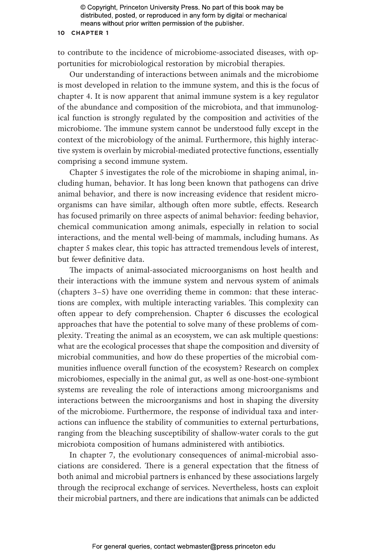## **10 CHAPTER 1**

to contribute to the incidence of microbiome-associated diseases, with opportunities for microbiological restoration by microbial therapies.

Our understanding of interactions between animals and the microbiome is most developed in relation to the immune system, and this is the focus of chapter 4. It is now apparent that animal immune system is a key regulator of the abundance and composition of the microbiota, and that immunological function is strongly regulated by the composition and activities of the microbiome. The immune system cannot be understood fully except in the context of the microbiology of the animal. Furthermore, this highly interactive system is overlain by microbial-mediated protective functions, essentially comprising a second immune system.

Chapter 5 investigates the role of the microbiome in shaping animal, including human, behavior. It has long been known that pathogens can drive animal behavior, and there is now increasing evidence that resident microorganisms can have similar, although often more subtle, effects. Research has focused primarily on three aspects of animal behavior: feeding behavior, chemical communication among animals, especially in relation to social interactions, and the mental well-being of mammals, including humans. As chapter 5 makes clear, this topic has attracted tremendous levels of interest, but fewer definitive data.

The impacts of animal-associated microorganisms on host health and their interactions with the immune system and nervous system of animals (chapters 3–5) have one overriding theme in common: that these interactions are complex, with multiple interacting variables. This complexity can often appear to defy comprehension. Chapter 6 discusses the ecological approaches that have the potential to solve many of these problems of complexity. Treating the animal as an ecosystem, we can ask multiple questions: what are the ecological processes that shape the composition and diversity of microbial communities, and how do these properties of the microbial communities influence overall function of the ecosystem? Research on complex microbiomes, especially in the animal gut, as well as one-host-one-symbiont systems are revealing the role of interactions among microorganisms and interactions between the microorganisms and host in shaping the diversity of the microbiome. Furthermore, the response of individual taxa and interactions can influence the stability of communities to external perturbations, ranging from the bleaching susceptibility of shallow-water corals to the gut microbiota composition of humans administered with antibiotics.

In chapter 7, the evolutionary consequences of animal-microbial associations are considered. There is a general expectation that the fitness of both animal and microbial partners is enhanced by these associations largely through the reciprocal exchange of services. Nevertheless, hosts can exploit their microbial partners, and there are indications that animals can be addicted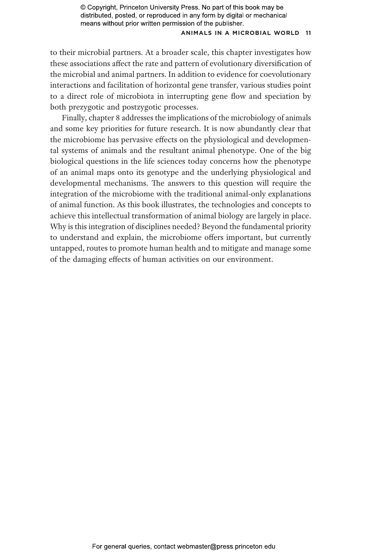## **ANIMALS IN A MICROBIAL WORLD 11**

to their microbial partners. At a broader scale, this chapter investigates how these associations affect the rate and pattern of evolutionary diversification of the microbial and animal partners. In addition to evidence for coevolutionary interactions and facilitation of horizontal gene transfer, various studies point to a direct role of microbiota in interrupting gene flow and speciation by both prezygotic and postzygotic processes.

Finally, chapter 8 addresses the implications of the microbiology of animals and some key priorities for future research. It is now abundantly clear that the microbiome has pervasive effects on the physiological and developmental systems of animals and the resultant animal phenotype. One of the big biological questions in the life sciences today concerns how the phenotype of an animal maps onto its genotype and the underlying physiological and developmental mechanisms. The answers to this question will require the integration of the microbiome with the traditional animal-only explanations of animal function. As this book illustrates, the technologies and concepts to achieve this intellectual transformation of animal biology are largely in place. Why is this integration of disciplines needed? Beyond the fundamental priority to understand and explain, the microbiome offers important, but currently untapped, routes to promote human health and to mitigate and manage some of the damaging effects of human activities on our environment.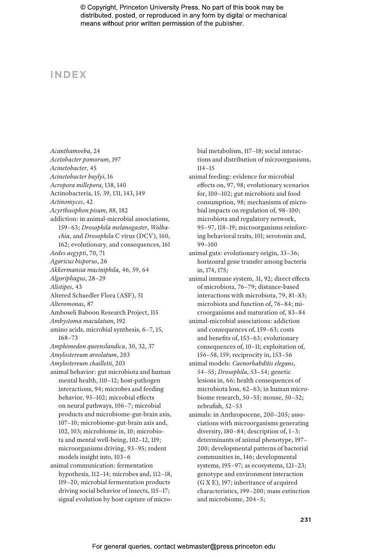## **Index**

*Acanthamoeba*, 24 *Acetobacter pomorum*, 197 *Acinetobacter*, 45 *Acinetobacter baylyi*, 16 *Acropora millepora*, 138, 140 Actinobacteria, 15, 39, 131, 143, 149 *Actinomyces*, 42 *Acyrthosiphon pisum*, 88, 182 addiction: in animal-microbial associations, 159–63; *Drosophila melanogaster*, *Wolbachia*, and *Drosophila* C virus (DCV), 160, 162; evolutionary, and consequences, 161 *Aedes aegypti*, 70, 71 *Agaricus bisporus*, 26 *Akkermansia muciniphila*, 46, 59, 64 *Algoriphagus*, 28–29 *Alistipes*, 43 Altered Schaedler Flora (ASF), 51 *Alteromonas*, 87 Amboseli Baboon Research Project, 115 *Ambystoma maculatum*, 192 amino acids, microbial synthesis, 6–7, 15, 168–73 *Amphimedon queenslandica*, 30, 32, 37 *Amylostereum areolatum*, 203 *Amylostereum chailletii*, 203 animal behavior: gut microbiota and human mental health, 110–12; host-pathogen interactions, 94; microbes and feeding behavior, 95–102; microbial effects on neural pathways, 106–7; microbial products and microbiome-gut-brain axis, 107–10; microbiome-gut-brain axis and, 102, 103; microbiome in, 10; microbiota and mental well-being, 102–12, 119; microorganisms driving, 93–95; rodent models insight into, 103–6 animal communication: fermentation hypothesis, 112–14; microbes and, 112–18, 119–20; microbial fermentation products driving social behavior of insects, 115–17; signal evolution by host capture of microbial metabolism, 117–18; social interactions and distribution of microorganisms, 114–15

animal feeding: evidence for microbial effects on, 97, 98; evolutionary scenarios for, 100–102; gut microbiota and food consumption, 98; mechanisms of microbial impacts on regulation of, 98–100; microbiota and regulatory network, 95–97, 118–19; microorganisms reinforcing behavioral traits, 101; serotonin and, 99–100

animal guts: evolutionary origin, 33–36; horizontal gene transfer among bacteria in, 174, 175;

animal immune system, 31, 92; direct effects of microbiota, 76–79; distance-based interactions with microbiota, 79, 81–83; microbiota and function of, 76–84; microorganisms and maturation of, 83–84

animal-microbial associations: addiction and consequences of, 159–63; costs and benefits of, 153–63; evolutionary consequences of, 10–11; exploitation of, 156–58, 159; reciprocity in, 153–56

animal models: *Caenorhabditis elegans*, 54–55; *Drosophila*, 53–54; genetic lesions in, 66; health consequences of microbiota loss, 62–63; in human microbiome research, 50–55; mouse, 50–52; zebrafish, 52–53

animals: in Anthropocene, 200–205; associations with microorganisms generating diversity, 180–84; description of, 1–3; determinants of animal phenotype, 197– 200; developmental patterns of bacterial communities in, 146; developmental systems, 195–97; as ecosystems, 121–23; genotype and environment interaction (G X E), 197; inheritance of acquired characteristics, 199–200; mass extinction and microbiome, 204–5;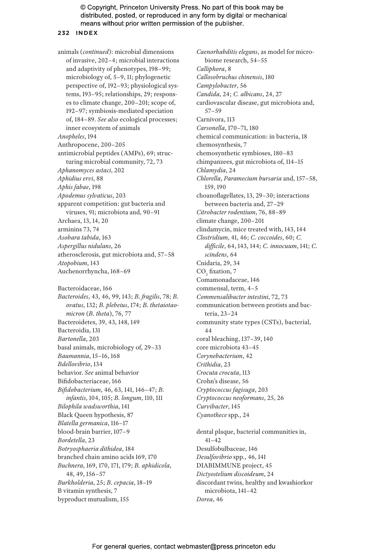#### **232 Index**

animals (*continued*): microbial dimensions of invasive, 202–4; microbial interactions and adaptivity of phenotypes, 198–99; microbiology of, 5–9, 11; phylogenetic perspective of, 192–93; physiological systems, 193–95; relationships, 29; responses to climate change, 200–201; scope of, 192–97; symbiosis-mediated speciation of, 184–89. *See also* ecological processes; inner ecosystem of animals *Anopheles*, 194 Anthropocene, 200–205 antimicrobial peptides (AMPs), 69; structuring microbial community, 72, 73 *Aphanomyces astaci*, 202 *Aphidius ervi*, 88 *Aphis fabae*, 198 *Apodemus sylvaticus*, 203 apparent competition: gut bacteria and viruses, 91; microbiota and, 90–91 Archaea, 13, 14, 20 arminins 73, 74 *Asobara tabida*, 163 *Aspergillus nidulans*, 26 atherosclerosis, gut microbiota and, 57–58 *Atopobium*, 143 Auchenorrhyncha, 168–69 Bacteroidaceae, 166 *Bacteroides*, 43, 46, 99, 143; *B. fragilis*, 78; *B. ovatus*, 132; *B. plebeius*, 174; *B. thetaiotaomicron* (*B. theta*), 76, 77 Bacteroidetes, 39, 43, 148, 149 Bacteroidia, 131 *Bartonella*, 203 basal animals, microbiology of, 29–33 *Baumannia*, 15–16, 168 *Bdellovibrio*, 134 behavior. *See* animal behavior

Bifidobacteriaceae, 166 *Bifidobacterium*, 46, 63, 141, 146–47; *B. infantis*, 104, 105; *B. longum*, 110, 111 *Bilophila wadsworthia*, 141 Black Queen hypothesis, 87 *Blatella germanica*, 116–17 blood-brain barrier, 107–9 *Bordetella*, 23 *Botryosphaeria dithidea*, 184 branched chain amino acids 169, 170 *Buchnera*, 169, 170, 171, 179; *B. aphidicola*, 48, 49, 156–57 *Burkholderia*, 25; *B. cepacia*, 18–19 B vitamin synthesis, 7 byproduct mutualism, 155

*Caenorhabditis elegans*, as model for microbiome research, 54–55 *Calliphora*, 8 *Callosobruchus chinensis*, 180 *Campylobacter*, 56 *Candida*, 24; *C. albicans*, 24, 27 cardiovascular disease, gut microbiota and, 57–59 Carnivora, 113 *Carsonella*, 170–71, 180 chemical communication: in bacteria, 18 chemosynthesis, 7 chemosynthetic symbioses, 180–83 chimpanzees, gut microbiota of, 114–15 *Chlamydia*, 24 *Chlorella*, *Paramecium bursaria* and, 157–58, 159, 190 choanoflagellates, 13, 29–30; interactions between bacteria and, 27–29 *Citrobacter rodentium*, 76, 88–89 climate change, 200–201 clindamycin, mice treated with, 143, 144 *Clostridium*, 41, 46; *C. coccoides*, 60; *C. difficile*, 64, 143, 144; *C. innocuum*, 141; *C. scindens*, 64 Cnidaria, 29, 34  $CO<sub>2</sub>$  fixation, 7 Comamonadaceae, 146 commensal, term, 4–5 *Commensalibacter intestini*, 72, 73 communication between protists and bacteria, 23–24 community state types (CSTs), bacterial, 44 coral bleaching, 137–39, 140 core microbiota 43–45 *Corynebacterium*, 42 *Crithidia*, 23 *Crocuta crocuta*, 113 Crohn's disease, 56 *Cryptococcus fagisuga*, 203 *Cryptococcus neoformans*, 25, 26 *Curvibacter*, 145 *Cyanothece* spp., 24 dental plaque, bacterial communities in,  $41 - 42$ Desulfobulbaceae, 146 *Desulfovibrio* spp., 46, 141 DIABIMMUNE project, 45 *Dictyostelium discoideum*, 24 discordant twins, healthy and kwashiorkor microbiota, 141–42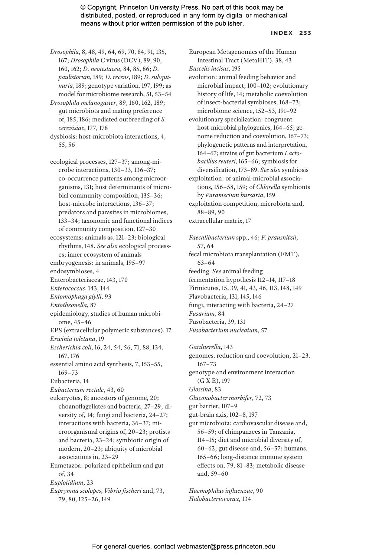#### **Index 233**

*Drosophila*, 8, 48, 49, 64, 69, 70, 84, 91, 135, 167; *Drosophila* C virus (DCV), 89, 90, 160, 162; *D. neotestacea*, 84, 85, 86; *D. paulistorum*, 189; *D. recens*, 189; *D. subquinaria*, 189; genotype variation, 197, 199; as model for microbiome research, 51, 53–54

*Drosophila melanogaster*, 89, 160, 162, 189; gut microbiota and mating preference of, 185, 186; mediated outbreeding of *S. cerevisiae*, 177, 178

dysbiosis: host-microbiota interactions, 4, 55, 56

ecological processes, 127–37; among-microbe interactions, 130–33, 136–37; co-occurrence patterns among microorganisms, 131; host determinants of microbial community composition, 135–36; host-microbe interactions, 136–37; predators and parasites in microbiomes, 133–34; taxonomic and functional indices of community composition, 127–30 ecosystems: animals as, 121–23; biological rhythms, 148. *See also* ecological process-

- es; inner ecosystem of animals embryogenesis: in animals, 195–97 endosymbioses, 4
- Enterobacteriaceae, 143, 170
- *Enterococcus*, 143, 144
- *Entomophaga glylli*, 93
- *Entotheonella*, 87
- epidemiology, studies of human microbiome, 45–46
- EPS (extracellular polymeric substances), 17
- *Erwinia toletana*, 19
- *Escherichia coli*, 16, 24, 54, 56, 71, 88, 134, 167, 176
- essential amino acid synthesis, 7, 153–55, 169–73
- Eubacteria, 14

*Eubacterium rectale*, 43, 60

- eukaryotes, 8; ancestors of genome, 20; choanoflagellates and bacteria, 27–29; diversity of, 14; fungi and bacteria, 24–27; interactions with bacteria, 36–37; microorganismal origins of, 20–23; protists and bacteria, 23–24; symbiotic origin of modern, 20–23; ubiquity of microbial associations in, 23–29
- Eumetazoa: polarized epithelium and gut of, 34
- *Euplotidium*, 23
- *Euprymna scolopes*, *Vibrio fischeri* and, 73, 79, 80, 125–26, 149

European Metagenomics of the Human Intestinal Tract (MetaHIT), 38, 43 *Euscelis incisus*, 195 evolution: animal feeding behavior and microbial impact, 100–102; evolutionary history of life, 14; metabolic coevolution of insect-bacterial symbioses, 168–73; microbiome science, 152–53, 191–92

evolutionary specialization: congruent host-microbial phylogenies, 164–65; genome reduction and coevolution, 167–73; phylogenetic patterns and interpretation, 164–67; strains of gut bacterium *Lactobacillus reuteri*, 165–66; symbiosis for diversification, 173–89. *See also* symbiosis

exploitation: of animal-microbial associations, 156–58, 159; of *Chlorella* symbionts by *Paramecium bursaria*, 159

exploitation competition, microbiota and, 88–89, 90

extracellular matrix, 17

*Faecalibacterium* spp., 46; *F. prausnitzii*, 57, 64 fecal microbiota transplantation (FMT), 63–64 feeding. *See* animal feeding fermentation hypothesis 112–14, 117–18 Firmicutes, 15, 39, 41, 43, 46, 113, 148, 149 Flavobacteria, 131, 145, 146 fungi, interacting with bacteria, 24–27 *Fusarium*, 84 Fusobacteria, 39, 131 *Fusobacterium nucleatum*, 57

*Gardnerella*, 143 genomes, reduction and coevolution, 21–23, 167–73 genotype and environment interaction (G X E), 197 *Glossina*, 83 *Gluconobacter morbifer*, 72, 73 gut barrier, 107–9 gut-brain axis, 102–8, 197 gut microbiota: cardiovascular disease and, 56–59; of chimpanzees in Tanzania, 114–15; diet and microbial diversity of, 60–62; gut disease and, 56–57; humans, 165–66; long-distance immune system effects on, 79, 81–83; metabolic disease and, 59–60

*Haemophilus influenzae*, 90 *Halobacteriovorax*, 134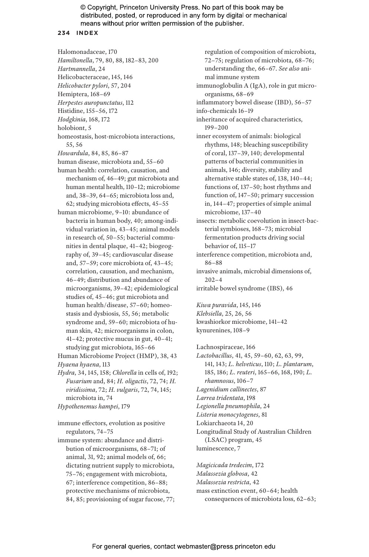#### **234 Index**

- Halomonadaceae, 170 *Hamiltonella*, 79, 80, 88, 182–83, 200 *Hartmannella*, 24 Helicobacteraceae, 145, 146 *Helicobacter pylori*, 57, 204 Hemiptera, 168–69
- *Herpestes auropunctatus*, 112
- Histidine, 155–56, 172
- *Hodgkinia*, 168, 172
- holobiont, 5
- homeostasis, host-microbiota interactions, 55, 56
- *Howardula*, 84, 85, 86–87
- human disease, microbiota and, 55–60
- human health: correlation, causation, and mechanism of, 46–49; gut microbiota and human mental health, 110–12; microbiome and, 38–39, 64–65; microbiota loss and, 62; studying microbiota effects, 45–55
- human microbiome, 9–10: abundance of bacteria in human body, 40; among-individual variation in, 43–45; animal models in research of, 50–55; bacterial communities in dental plaque, 41–42; biogeography of, 39–45; cardiovascular disease and, 57–59; core microbiota of, 43–45; correlation, causation, and mechanism, 46–49; distribution and abundance of microorganisms, 39–42; epidemiological studies of, 45–46; gut microbiota and human health/disease, 57–60; homeostasis and dysbiosis, 55, 56; metabolic syndrome and, 59–60; microbiota of human skin, 42; microorganisms in colon, 41–42; protective mucus in gut, 40–41; studying gut microbiota, 165–66

Human Microbiome Project (HMP), 38, 43 *Hyaena hyaena*, 113

*Hydra*, 34, 145, 158; *Chlorella* in cells of, 192; *Fusarium* and, 84; *H. oligactis*, 72, 74; *H. viridissima*, 72; *H. vulgaris*, 72, 74, 145; microbiota in, 74

*Hypothenemus hampei*, 179

immune effectors, evolution as positive regulators, 74–75

immune system: abundance and distribution of microorganisms, 68–71; of animal, 31, 92; animal models of, 66; dictating nutrient supply to microbiota, 75–76; engagement with microbiota, 67; interference competition, 86–88; protective mechanisms of microbiota, 84, 85; provisioning of sugar fucose, 77;

regulation of composition of microbiota, 72–75; regulation of microbiota, 68–76; understanding the, 66–67. *See also* animal immune system immunoglobulin A (IgA), role in gut micro-

- organisms, 68–69
- inflammatory bowel disease (IBD), 56–57 info-chemicals 16–19
- 
- inheritance of acquired characteristics, 199–200
- inner ecosystem of animals: biological rhythms, 148; bleaching susceptibility of coral, 137–39, 140; developmental patterns of bacterial communities in animals, 146; diversity, stability and alternative stable states of, 138, 140–44; functions of, 137–50; host rhythms and function of, 147–50; primary succession in, 144–47; properties of simple animal microbiome, 137–40
- insects: metabolic coevolution in insect-bacterial symbioses, 168–73; microbial fermentation products driving social behavior of, 115–17

interference competition, microbiota and, 86–88

invasive animals, microbial dimensions of, 202–4

irritable bowel syndrome (IBS), 46

*Kiwa puravida*, 145, 146 *Klebsiella*, 25, 26, 56 kwashiorkor microbiome, 141–42 kynurenines, 108–9

Lachnospiraceae, 166 *Lactobacillus*, 41, 45, 59–60, 62, 63, 99, 141, 143; *L. helveticus*, 110; *L. plantarum*, 185, 186; *L. reuteri*, 165–66, 168, 190; *L. rhamnosus*, 106–7 *Lagenidium callinectes*, 87 *Larrea tridentata*, 198 *Legionella pneumophila*, 24 *Listeria monocytogenes*, 81 Lokiarchaeota 14, 20 Longitudinal Study of Australian Children (LSAC) program, 45 luminescence, 7

*Magicicada tredecim*, 172 *Malassezia globosa*, 42 *Malassezia restricta*, 42 mass extinction event, 60–64; health consequences of microbiota loss, 62–63;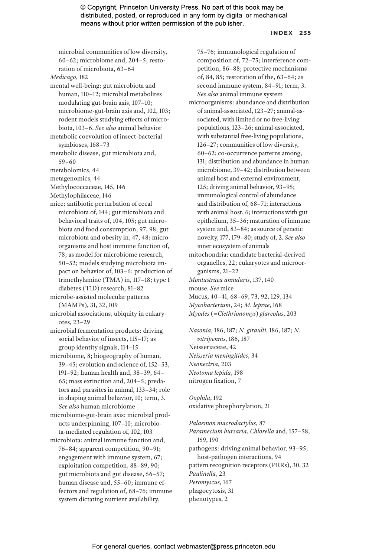#### **Index 235**

microbial communities of low diversity, 60–62; microbiome and, 204–5; restoration of microbiota, 63–64

*Medicago*, 182

mental well-being: gut microbiota and human, 110–12; microbial metabolites modulating gut-brain axis, 107–10; microbiome-gut-brain axis and, 102, 103; rodent models studying effects of microbiota, 103–6. *See also* animal behavior

metabolic coevolution of insect-bacterial symbioses, 168–73

- metabolic disease, gut microbiota and, 59–60
- metabolomics, 44
- metagenomics, 44
- Methylococcaceae, 145, 146
- Methylophilaceae, 146
- mice: antibiotic perturbation of cecal microbiota of, 144; gut microbiota and behavioral traits of, 104, 105; gut microbiota and food consumption, 97, 98; gut microbiota and obesity in, 47, 48; microorganisms and host immune function of, 78; as model for microbiome research, 50–52; models studying microbiota impact on behavior of, 103–6; production of trimethylamine (TMA) in, 117–18; type 1 diabetes (T1D) research, 81–82
- microbe-assisted molecular patterns (MAMPs), 31, 32, 109
- microbial associations, ubiquity in eukaryotes, 23–29
- microbial fermentation products: driving social behavior of insects, 115–17; as group identity signals, 114–15
- microbiome, 8; biogeography of human, 39–45; evolution and science of, 152–53, 191–92; human health and, 38–39, 64– 65; mass extinction and, 204–5; predators and parasites in animal, 133–34; role in shaping animal behavior, 10; term, 3. *See also* human microbiome

microbiome-gut-brain axis: microbial products underpinning, 107–10; microbiota-mediated regulation of, 102, 103

microbiota: animal immune function and, 76–84; apparent competition, 90–91; engagement with immune system, 67; exploitation competition, 88–89, 90; gut microbiota and gut disease, 56–57; human disease and, 55–60; immune effectors and regulation of, 68–76; immune system dictating nutrient availability,

75–76; immunological regulation of composition of, 72–75; interference competition, 86–88; protective mechanisms of, 84, 85; restoration of the, 63–64; as second immune system, 84–91; term, 3. *See also* animal immune system microorganisms: abundance and distribution of animal-associated, 123–27; animal-associated, with limited or no free-living populations, 123–26; animal-associated, with substantial free-living populations, 126–27; communities of low diversity, 60–62; co-occurrence patterns among, 131; distribution and abundance in human microbiome, 39–42; distribution between animal host and external environment, 125; driving animal behavior, 93–95; immunological control of abundance and distribution of, 68–71; interactions with animal host, 6; interactions with gut epithelium, 35–36; maturation of immune system and, 83–84; as source of genetic novelty, 177, 179–80; study of, 2. *See also* inner ecosystem of animals mitochondria: candidate bacterial-derived organelles, 22; eukaryotes and microor-

ganisms, 21–22 *Montastraea annularis*, 137, 140

mouse. *See* mice

Mucus, 40–41, 68–69, 73, 92, 129, 134 *Mycobacterium*, 24; *M. leprae*, 168 *Myodes* (=*Clethrionomys*) *glareolus*, 203

*Nasonia*, 186, 187; *N. giraulti*, 186, 187; *N. vitripennis*, 186, 187 Neisseriaceae, 42 *Neisseria meningitides*, 34 *Neonectria*, 203 *Neotoma lepida*, 198 nitrogen fixation, 7

*Oophila*, 192 oxidative phosphorylation, 21

*Palaemon macrodactylus*, 87 *Paramecium bursaria*, *Chlorella* and, 157–58, 159, 190 pathogens: driving animal behavior, 93–95; host-pathogen interactions, 94 pattern recognition receptors (PRRs), 30, 32 *Paulinella*, 23 *Peromyscus*, 167 phagocytosis, 31 phenotypes, 2